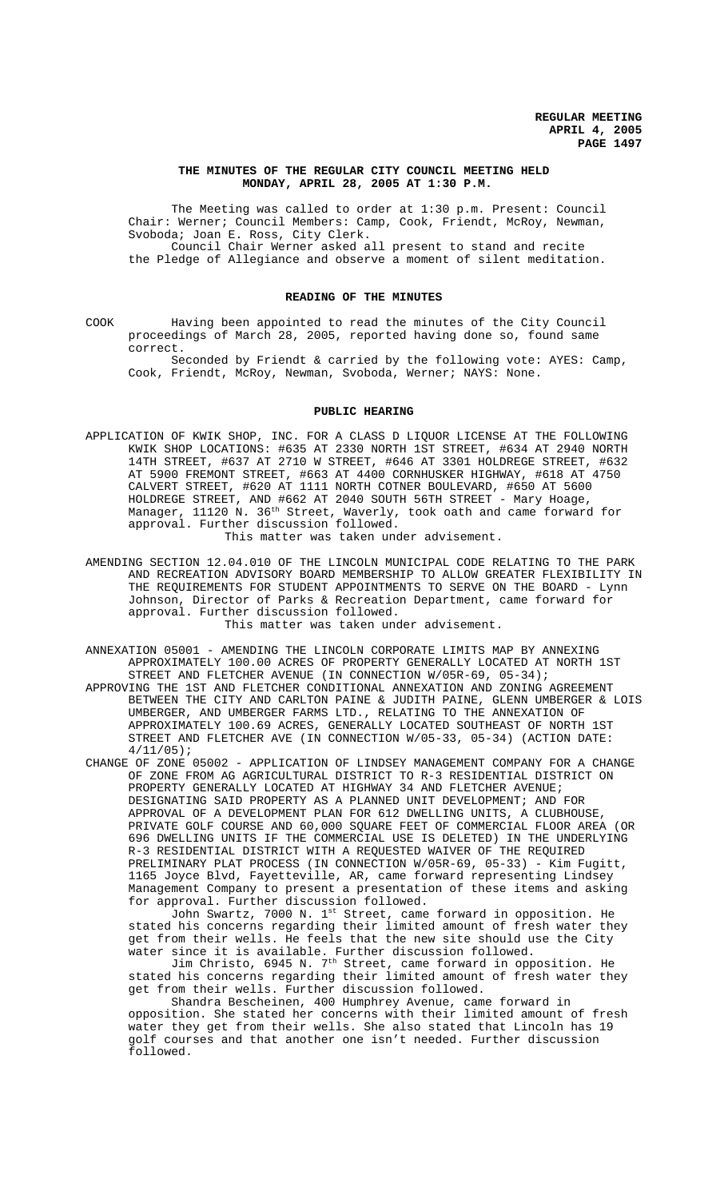## **THE MINUTES OF THE REGULAR CITY COUNCIL MEETING HELD MONDAY, APRIL 28, 2005 AT 1:30 P.M.**

The Meeting was called to order at 1:30 p.m. Present: Council Chair: Werner; Council Members: Camp, Cook, Friendt, McRoy, Newman, Svoboda; Joan E. Ross, City Clerk. Council Chair Werner asked all present to stand and recite the Pledge of Allegiance and observe a moment of silent meditation.

#### **READING OF THE MINUTES**

COOK Having been appointed to read the minutes of the City Council proceedings of March 28, 2005, reported having done so, found same correct.

Seconded by Friendt & carried by the following vote: AYES: Camp, Cook, Friendt, McRoy, Newman, Svoboda, Werner; NAYS: None.

## **PUBLIC HEARING**

- APPLICATION OF KWIK SHOP, INC. FOR A CLASS D LIQUOR LICENSE AT THE FOLLOWING KWIK SHOP LOCATIONS: #635 AT 2330 NORTH 1ST STREET, #634 AT 2940 NORTH 14TH STREET, #637 AT 2710 W STREET, #646 AT 3301 HOLDREGE STREET, #632 AT 5900 FREMONT STREET, #663 AT 4400 CORNHUSKER HIGHWAY, #618 AT 4750 CALVERT STREET, #620 AT 1111 NORTH COTNER BOULEVARD, #650 AT 5600 HOLDREGE STREET, AND #662 AT 2040 SOUTH 56TH STREET - Mary Hoage, Manager,  $11120$  N.  $36^{\text{th}}$  Street, Waverly, took oath and came forward for approval. Further discussion followed. This matter was taken under advisement.
- AMENDING SECTION 12.04.010 OF THE LINCOLN MUNICIPAL CODE RELATING TO THE PARK AND RECREATION ADVISORY BOARD MEMBERSHIP TO ALLOW GREATER FLEXIBILITY IN THE REQUIREMENTS FOR STUDENT APPOINTMENTS TO SERVE ON THE BOARD - Lynn Johnson, Director of Parks & Recreation Department, came forward for approval. Further discussion followed. This matter was taken under advisement.
- ANNEXATION 05001 AMENDING THE LINCOLN CORPORATE LIMITS MAP BY ANNEXING APPROXIMATELY 100.00 ACRES OF PROPERTY GENERALLY LOCATED AT NORTH 1ST STREET AND FLETCHER AVENUE (IN CONNECTION W/05R-69, 05-34);
- APPROVING THE 1ST AND FLETCHER CONDITIONAL ANNEXATION AND ZONING AGREEMENT BETWEEN THE CITY AND CARLTON PAINE & JUDITH PAINE, GLENN UMBERGER & LOIS UMBERGER, AND UMBERGER FARMS LTD., RELATING TO THE ANNEXATION OF APPROXIMATELY 100.69 ACRES, GENERALLY LOCATED SOUTHEAST OF NORTH 1ST STREET AND FLETCHER AVE (IN CONNECTION W/05-33, 05-34) (ACTION DATE:  $4/11/05$ ;
- CHANGE OF ZONE 05002 APPLICATION OF LINDSEY MANAGEMENT COMPANY FOR A CHANGE OF ZONE FROM AG AGRICULTURAL DISTRICT TO R-3 RESIDENTIAL DISTRICT ON PROPERTY GENERALLY LOCATED AT HIGHWAY 34 AND FLETCHER AVENUE; DESIGNATING SAID PROPERTY AS A PLANNED UNIT DEVELOPMENT; AND FOR APPROVAL OF A DEVELOPMENT PLAN FOR 612 DWELLING UNITS, A CLUBHOUSE, PRIVATE GOLF COURSE AND 60,000 SQUARE FEET OF COMMERCIAL FLOOR AREA (OR 696 DWELLING UNITS IF THE COMMERCIAL USE IS DELETED) IN THE UNDERLYING R-3 RESIDENTIAL DISTRICT WITH A REQUESTED WAIVER OF THE REQUIRED PRELIMINARY PLAT PROCESS (IN CONNECTION W/05R-69, 05-33) - Kim Fugitt, 1165 Joyce Blvd, Fayetteville, AR, came forward representing Lindsey Management Company to present a presentation of these items and asking for approval. Further discussion followed.

John Swartz, 7000 N. 1<sup>st</sup> Street, came forward in opposition. He stated his concerns regarding their limited amount of fresh water they get from their wells. He feels that the new site should use the City water since it is available. Further discussion followed.

Jim Christo, 6945 N. 7th Street, came forward in opposition. He stated his concerns regarding their limited amount of fresh water they get from their wells. Further discussion followed.

Shandra Bescheinen, 400 Humphrey Avenue, came forward in opposition. She stated her concerns with their limited amount of fresh water they get from their wells. She also stated that Lincoln has 19 golf courses and that another one isn't needed. Further discussion followed.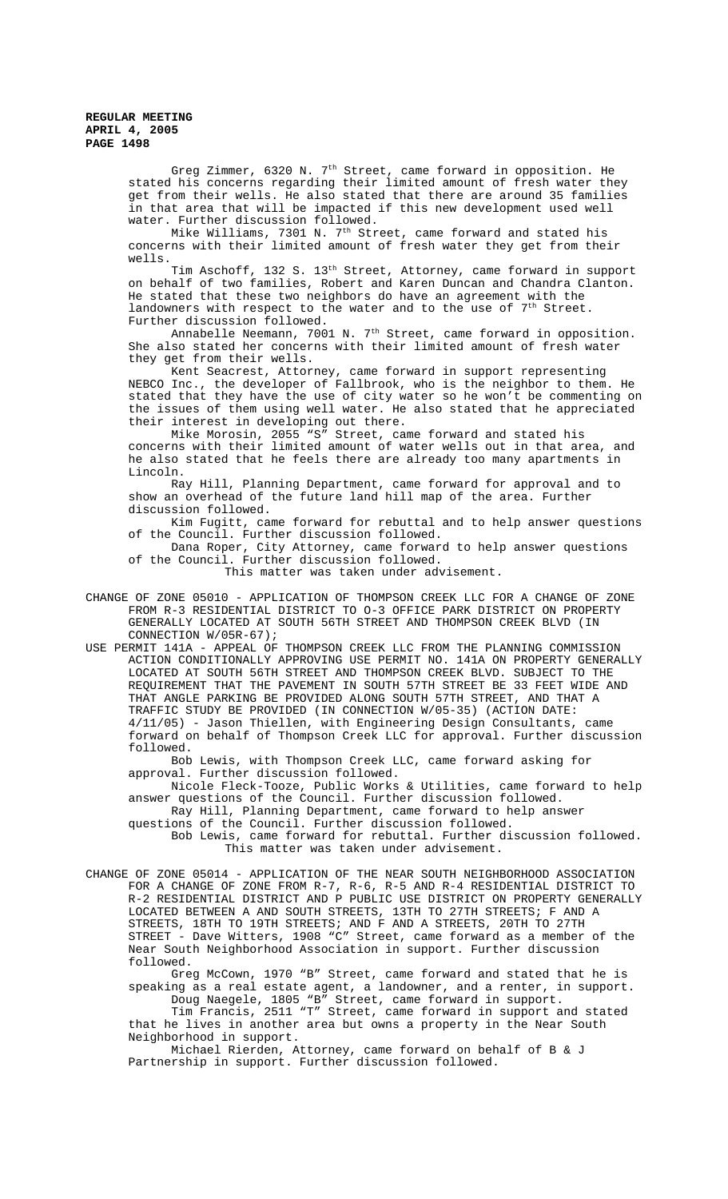Greg Zimmer,  $6320$  N.  $7<sup>th</sup>$  Street, came forward in opposition. He stated his concerns regarding their limited amount of fresh water they get from their wells. He also stated that there are around 35 families in that area that will be impacted if this new development used well water. Further discussion followed.

Mike Williams, 7301 N. 7th Street, came forward and stated his concerns with their limited amount of fresh water they get from their wells.

Tim Aschoff, 132 S. 13th Street, Attorney, came forward in support on behalf of two families, Robert and Karen Duncan and Chandra Clanton. He stated that these two neighbors do have an agreement with the landowners with respect to the water and to the use of  $7<sup>th</sup>$  Street. Further discussion followed.

Annabelle Neemann, 7001 N. 7th Street, came forward in opposition. She also stated her concerns with their limited amount of fresh water they get from their wells.

Kent Seacrest, Attorney, came forward in support representing NEBCO Inc., the developer of Fallbrook, who is the neighbor to them. He stated that they have the use of city water so he won't be commenting on the issues of them using well water. He also stated that he appreciated their interest in developing out there.

Mike Morosin, 2055 "S" Street, came forward and stated his concerns with their limited amount of water wells out in that area, and he also stated that he feels there are already too many apartments in Lincoln.

Ray Hill, Planning Department, came forward for approval and to show an overhead of the future land hill map of the area. Further discussion followed.

Kim Fugitt, came forward for rebuttal and to help answer questions of the Council. Further discussion followed.

Dana Roper, City Attorney, came forward to help answer questions of the Council. Further discussion followed.

This matter was taken under advisement.

CHANGE OF ZONE 05010 - APPLICATION OF THOMPSON CREEK LLC FOR A CHANGE OF ZONE FROM R-3 RESIDENTIAL DISTRICT TO O-3 OFFICE PARK DISTRICT ON PROPERTY GENERALLY LOCATED AT SOUTH 56TH STREET AND THOMPSON CREEK BLVD (IN CONNECTION W/05R-67);

USE PERMIT 141A - APPEAL OF THOMPSON CREEK LLC FROM THE PLANNING COMMISSION ACTION CONDITIONALLY APPROVING USE PERMIT NO. 141A ON PROPERTY GENERALLY LOCATED AT SOUTH 56TH STREET AND THOMPSON CREEK BLVD. SUBJECT TO THE REQUIREMENT THAT THE PAVEMENT IN SOUTH 57TH STREET BE 33 FEET WIDE AND THAT ANGLE PARKING BE PROVIDED ALONG SOUTH 57TH STREET, AND THAT A TRAFFIC STUDY BE PROVIDED (IN CONNECTION W/05-35) (ACTION DATE: 4/11/05) - Jason Thiellen, with Engineering Design Consultants, came forward on behalf of Thompson Creek LLC for approval. Further discussion followed.

Bob Lewis, with Thompson Creek LLC, came forward asking for approval. Further discussion followed.

Nicole Fleck-Tooze, Public Works & Utilities, came forward to help answer questions of the Council. Further discussion followed. Ray Hill, Planning Department, came forward to help answer

questions of the Council. Further discussion followed. Bob Lewis, came forward for rebuttal. Further discussion followed. This matter was taken under advisement.

CHANGE OF ZONE 05014 - APPLICATION OF THE NEAR SOUTH NEIGHBORHOOD ASSOCIATION FOR A CHANGE OF ZONE FROM R-7, R-6, R-5 AND R-4 RESIDENTIAL DISTRICT TO R-2 RESIDENTIAL DISTRICT AND P PUBLIC USE DISTRICT ON PROPERTY GENERALLY LOCATED BETWEEN A AND SOUTH STREETS, 13TH TO 27TH STREETS; F AND A STREETS, 18TH TO 19TH STREETS; AND F AND A STREETS, 20TH TO 27TH STREET - Dave Witters, 1908 "C" Street, came forward as a member of the Near South Neighborhood Association in support. Further discussion followed.

Greg McCown, 1970 "B" Street, came forward and stated that he is speaking as a real estate agent, a landowner, and a renter, in support. Doug Naegele, 1805 "B" Street, came forward in support.

Tim Francis, 2511 "T" Street, came forward in support and stated that he lives in another area but owns a property in the Near South Neighborhood in support.

Michael Rierden, Attorney, came forward on behalf of B & J Partnership in support. Further discussion followed.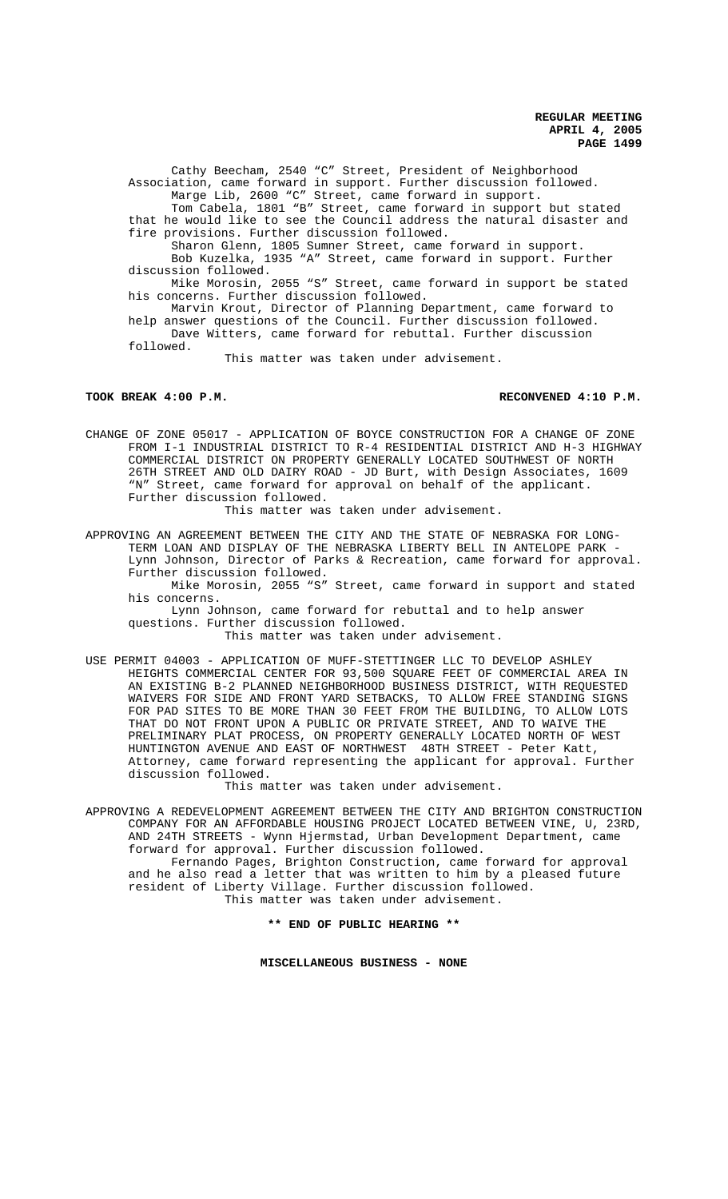Cathy Beecham, 2540 "C" Street, President of Neighborhood Association, came forward in support. Further discussion followed. Marge Lib, 2600 "C" Street, came forward in support.

Tom Cabela, 1801 "B" Street, came forward in support but stated that he would like to see the Council address the natural disaster and fire provisions. Further discussion followed.

Sharon Glenn, 1805 Sumner Street, came forward in support. Bob Kuzelka, 1935 "A" Street, came forward in support. Further discussion followed.

Mike Morosin, 2055 "S" Street, came forward in support be stated his concerns. Further discussion followed.

Marvin Krout, Director of Planning Department, came forward to help answer questions of the Council. Further discussion followed. Dave Witters, came forward for rebuttal. Further discussion

This matter was taken under advisement.

followed.

### **TOOK BREAK 4:00 P.M. RECONVENED 4:10 P.M.**

CHANGE OF ZONE 05017 - APPLICATION OF BOYCE CONSTRUCTION FOR A CHANGE OF ZONE FROM I-1 INDUSTRIAL DISTRICT TO R-4 RESIDENTIAL DISTRICT AND H-3 HIGHWAY COMMERCIAL DISTRICT ON PROPERTY GENERALLY LOCATED SOUTHWEST OF NORTH 26TH STREET AND OLD DAIRY ROAD - JD Burt, with Design Associates, 1609 "N" Street, came forward for approval on behalf of the applicant. Further discussion followed.

This matter was taken under advisement.

APPROVING AN AGREEMENT BETWEEN THE CITY AND THE STATE OF NEBRASKA FOR LONG-TERM LOAN AND DISPLAY OF THE NEBRASKA LIBERTY BELL IN ANTELOPE PARK - Lynn Johnson, Director of Parks & Recreation, came forward for approval. Further discussion followed.

Mike Morosin, 2055 "S" Street, came forward in support and stated his concerns.

Lynn Johnson, came forward for rebuttal and to help answer questions. Further discussion followed.

This matter was taken under advisement.

USE PERMIT 04003 - APPLICATION OF MUFF-STETTINGER LLC TO DEVELOP ASHLEY HEIGHTS COMMERCIAL CENTER FOR 93,500 SQUARE FEET OF COMMERCIAL AREA IN AN EXISTING B-2 PLANNED NEIGHBORHOOD BUSINESS DISTRICT, WITH REQUESTED WAIVERS FOR SIDE AND FRONT YARD SETBACKS, TO ALLOW FREE STANDING SIGNS FOR PAD SITES TO BE MORE THAN 30 FEET FROM THE BUILDING, TO ALLOW LOTS THAT DO NOT FRONT UPON A PUBLIC OR PRIVATE STREET, AND TO WAIVE THE PRELIMINARY PLAT PROCESS, ON PROPERTY GENERALLY LOCATED NORTH OF WEST HUNTINGTON AVENUE AND EAST OF NORTHWEST 48TH STREET - Peter Katt, Attorney, came forward representing the applicant for approval. Further discussion followed.

This matter was taken under advisement.

APPROVING A REDEVELOPMENT AGREEMENT BETWEEN THE CITY AND BRIGHTON CONSTRUCTION COMPANY FOR AN AFFORDABLE HOUSING PROJECT LOCATED BETWEEN VINE, U, 23RD, AND 24TH STREETS - Wynn Hjermstad, Urban Development Department, came forward for approval. Further discussion followed.

Fernando Pages, Brighton Construction, came forward for approval and he also read a letter that was written to him by a pleased future resident of Liberty Village. Further discussion followed. This matter was taken under advisement.

**\*\* END OF PUBLIC HEARING \*\***

**MISCELLANEOUS BUSINESS - NONE**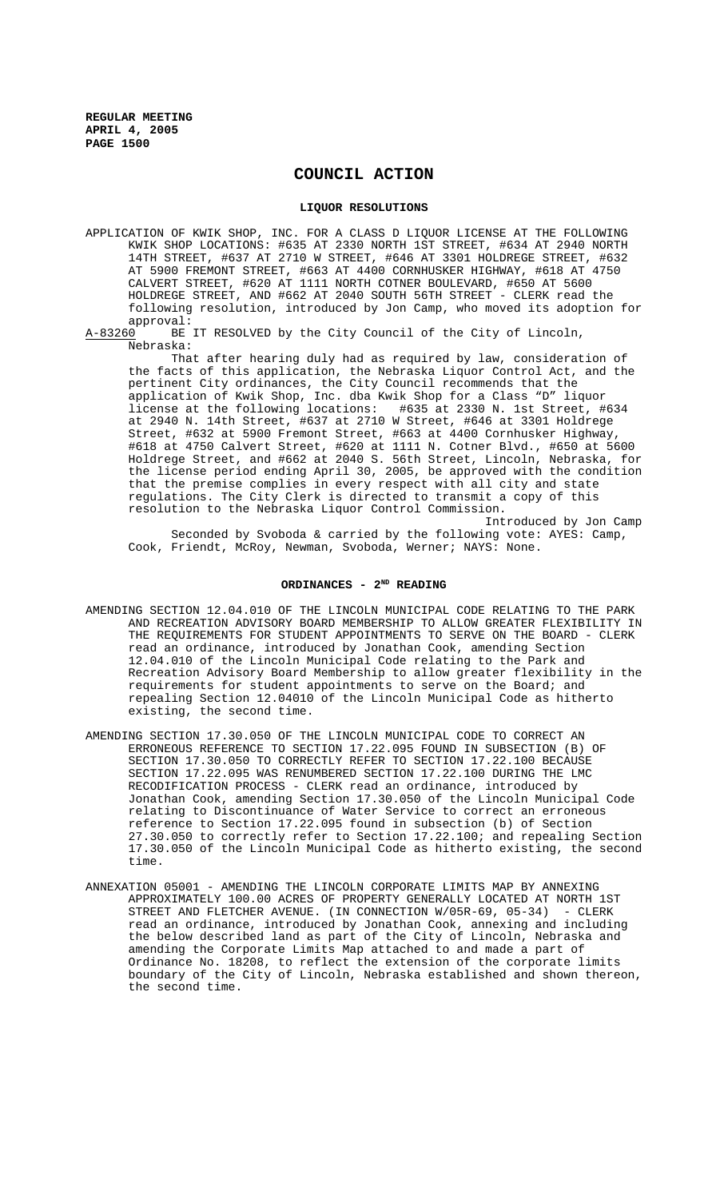# **COUNCIL ACTION**

## **LIQUOR RESOLUTIONS**

APPLICATION OF KWIK SHOP, INC. FOR A CLASS D LIQUOR LICENSE AT THE FOLLOWING KWIK SHOP LOCATIONS: #635 AT 2330 NORTH 1ST STREET, #634 AT 2940 NORTH 14TH STREET, #637 AT 2710 W STREET, #646 AT 3301 HOLDREGE STREET, #632 AT 5900 FREMONT STREET, #663 AT 4400 CORNHUSKER HIGHWAY, #618 AT 4750 CALVERT STREET, #620 AT 1111 NORTH COTNER BOULEVARD, #650 AT 5600 HOLDREGE STREET, AND #662 AT 2040 SOUTH 56TH STREET - CLERK read the following resolution, introduced by Jon Camp, who moved its adoption for

approval:<br>A-83260 BE BE IT RESOLVED by the City Council of the City of Lincoln, Nebraska:

That after hearing duly had as required by law, consideration of the facts of this application, the Nebraska Liquor Control Act, and the pertinent City ordinances, the City Council recommends that the application of Kwik Shop, Inc. dba Kwik Shop for a Class "D" liquor license at the following locations: #635 at 2330 N. 1st Street, #634 at 2940 N. 14th Street, #637 at 2710 W Street, #646 at 3301 Holdrege Street, #632 at 5900 Fremont Street, #663 at 4400 Cornhusker Highway, #618 at 4750 Calvert Street, #620 at 1111 N. Cotner Blvd., #650 at 5600 Holdrege Street, and #662 at 2040 S. 56th Street, Lincoln, Nebraska, for the license period ending April 30, 2005, be approved with the condition that the premise complies in every respect with all city and state regulations. The City Clerk is directed to transmit a copy of this resolution to the Nebraska Liquor Control Commission.

Introduced by Jon Camp Seconded by Svoboda & carried by the following vote: AYES: Camp, Cook, Friendt, McRoy, Newman, Svoboda, Werner; NAYS: None.

## ORDINANCES - 2<sup>ND</sup> READING

- AMENDING SECTION 12.04.010 OF THE LINCOLN MUNICIPAL CODE RELATING TO THE PARK AND RECREATION ADVISORY BOARD MEMBERSHIP TO ALLOW GREATER FLEXIBILITY IN THE REQUIREMENTS FOR STUDENT APPOINTMENTS TO SERVE ON THE BOARD - CLERK read an ordinance, introduced by Jonathan Cook, amending Section 12.04.010 of the Lincoln Municipal Code relating to the Park and Recreation Advisory Board Membership to allow greater flexibility in the requirements for student appointments to serve on the Board; and repealing Section 12.04010 of the Lincoln Municipal Code as hitherto existing, the second time.
- AMENDING SECTION 17.30.050 OF THE LINCOLN MUNICIPAL CODE TO CORRECT AN ERRONEOUS REFERENCE TO SECTION 17.22.095 FOUND IN SUBSECTION (B) OF SECTION 17.30.050 TO CORRECTLY REFER TO SECTION 17.22.100 BECAUSE SECTION 17.22.095 WAS RENUMBERED SECTION 17.22.100 DURING THE LMC RECODIFICATION PROCESS - CLERK read an ordinance, introduced by Jonathan Cook, amending Section 17.30.050 of the Lincoln Municipal Code relating to Discontinuance of Water Service to correct an erroneous reference to Section 17.22.095 found in subsection (b) of Section 27.30.050 to correctly refer to Section 17.22.100; and repealing Section 17.30.050 of the Lincoln Municipal Code as hitherto existing, the second time.
- ANNEXATION 05001 AMENDING THE LINCOLN CORPORATE LIMITS MAP BY ANNEXING APPROXIMATELY 100.00 ACRES OF PROPERTY GENERALLY LOCATED AT NORTH 1ST STREET AND FLETCHER AVENUE (IN CONNECTION W/05R-69, 05-34) - CLERK STREET AND FLETCHER AVENUE. (IN CONNECTION  $W/05R-69$ , 05-34) read an ordinance, introduced by Jonathan Cook, annexing and including the below described land as part of the City of Lincoln, Nebraska and amending the Corporate Limits Map attached to and made a part of Ordinance No. 18208, to reflect the extension of the corporate limits boundary of the City of Lincoln, Nebraska established and shown thereon, the second time.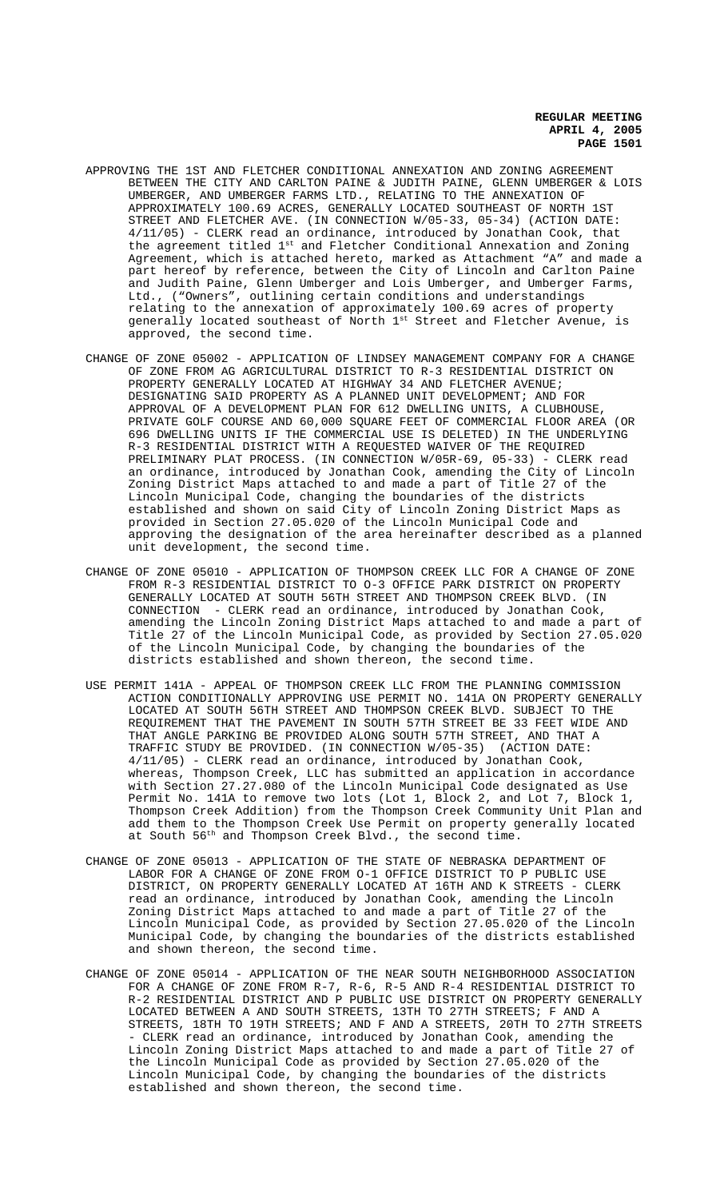- APPROVING THE 1ST AND FLETCHER CONDITIONAL ANNEXATION AND ZONING AGREEMENT BETWEEN THE CITY AND CARLTON PAINE & JUDITH PAINE, GLENN UMBERGER & LOIS UMBERGER, AND UMBERGER FARMS LTD., RELATING TO THE ANNEXATION OF APPROXIMATELY 100.69 ACRES, GENERALLY LOCATED SOUTHEAST OF NORTH 1ST STREET AND FLETCHER AVE. (IN CONNECTION W/05-33, 05-34) (ACTION DATE: 4/11/05) - CLERK read an ordinance, introduced by Jonathan Cook, that the agreement titled 1<sup>st</sup> and Fletcher Conditional Annexation and Zoning Agreement, which is attached hereto, marked as Attachment "A" and made a part hereof by reference, between the City of Lincoln and Carlton Paine and Judith Paine, Glenn Umberger and Lois Umberger, and Umberger Farms, Ltd., ("Owners", outlining certain conditions and understandings relating to the annexation of approximately 100.69 acres of property generally located southeast of North 1st Street and Fletcher Avenue, is approved, the second time.
- CHANGE OF ZONE 05002 APPLICATION OF LINDSEY MANAGEMENT COMPANY FOR A CHANGE OF ZONE FROM AG AGRICULTURAL DISTRICT TO R-3 RESIDENTIAL DISTRICT ON PROPERTY GENERALLY LOCATED AT HIGHWAY 34 AND FLETCHER AVENUE; DESIGNATING SAID PROPERTY AS A PLANNED UNIT DEVELOPMENT; AND FOR APPROVAL OF A DEVELOPMENT PLAN FOR 612 DWELLING UNITS, A CLUBHOUSE, PRIVATE GOLF COURSE AND 60,000 SQUARE FEET OF COMMERCIAL FLOOR AREA (OR 696 DWELLING UNITS IF THE COMMERCIAL USE IS DELETED) IN THE UNDERLYING R-3 RESIDENTIAL DISTRICT WITH A REQUESTED WAIVER OF THE REQUIRED PRELIMINARY PLAT PROCESS. (IN CONNECTION W/05R-69, 05-33) - CLERK read an ordinance, introduced by Jonathan Cook, amending the City of Lincoln Zoning District Maps attached to and made a part of Title 27 of the Lincoln Municipal Code, changing the boundaries of the districts established and shown on said City of Lincoln Zoning District Maps as provided in Section 27.05.020 of the Lincoln Municipal Code and approving the designation of the area hereinafter described as a planned unit development, the second time.
- CHANGE OF ZONE 05010 APPLICATION OF THOMPSON CREEK LLC FOR A CHANGE OF ZONE FROM R-3 RESIDENTIAL DISTRICT TO O-3 OFFICE PARK DISTRICT ON PROPERTY GENERALLY LOCATED AT SOUTH 56TH STREET AND THOMPSON CREEK BLVD. (IN CONNECTION - CLERK read an ordinance, introduced by Jonathan Cook, amending the Lincoln Zoning District Maps attached to and made a part of Title 27 of the Lincoln Municipal Code, as provided by Section 27.05.020 of the Lincoln Municipal Code, by changing the boundaries of the districts established and shown thereon, the second time.
- USE PERMIT 141A APPEAL OF THOMPSON CREEK LLC FROM THE PLANNING COMMISSION ACTION CONDITIONALLY APPROVING USE PERMIT NO. 141A ON PROPERTY GENERALLY LOCATED AT SOUTH 56TH STREET AND THOMPSON CREEK BLVD. SUBJECT TO THE REQUIREMENT THAT THE PAVEMENT IN SOUTH 57TH STREET BE 33 FEET WIDE AND THAT ANGLE PARKING BE PROVIDED ALONG SOUTH 57TH STREET, AND THAT A TRAFFIC STUDY BE PROVIDED. (IN CONNECTION W/05-35) (ACTION DATE: 4/11/05) - CLERK read an ordinance, introduced by Jonathan Cook, whereas, Thompson Creek, LLC has submitted an application in accordance with Section 27.27.080 of the Lincoln Municipal Code designated as Use Permit No. 141A to remove two lots (Lot 1, Block 2, and Lot 7, Block 1, Thompson Creek Addition) from the Thompson Creek Community Unit Plan and add them to the Thompson Creek Use Permit on property generally located at South 56th and Thompson Creek Blvd., the second time.
- CHANGE OF ZONE 05013 APPLICATION OF THE STATE OF NEBRASKA DEPARTMENT OF LABOR FOR A CHANGE OF ZONE FROM O-1 OFFICE DISTRICT TO P PUBLIC USE DISTRICT, ON PROPERTY GENERALLY LOCATED AT 16TH AND K STREETS - CLERK read an ordinance, introduced by Jonathan Cook, amending the Lincoln Zoning District Maps attached to and made a part of Title 27 of the Lincoln Municipal Code, as provided by Section 27.05.020 of the Lincoln Municipal Code, by changing the boundaries of the districts established and shown thereon, the second time.
- CHANGE OF ZONE 05014 APPLICATION OF THE NEAR SOUTH NEIGHBORHOOD ASSOCIATION FOR A CHANGE OF ZONE FROM R-7, R-6, R-5 AND R-4 RESIDENTIAL DISTRICT TO R-2 RESIDENTIAL DISTRICT AND P PUBLIC USE DISTRICT ON PROPERTY GENERALLY LOCATED BETWEEN A AND SOUTH STREETS, 13TH TO 27TH STREETS; F AND A STREETS, 18TH TO 19TH STREETS; AND F AND A STREETS, 20TH TO 27TH STREETS - CLERK read an ordinance, introduced by Jonathan Cook, amending the Lincoln Zoning District Maps attached to and made a part of Title 27 of the Lincoln Municipal Code as provided by Section 27.05.020 of the Lincoln Municipal Code, by changing the boundaries of the districts established and shown thereon, the second time.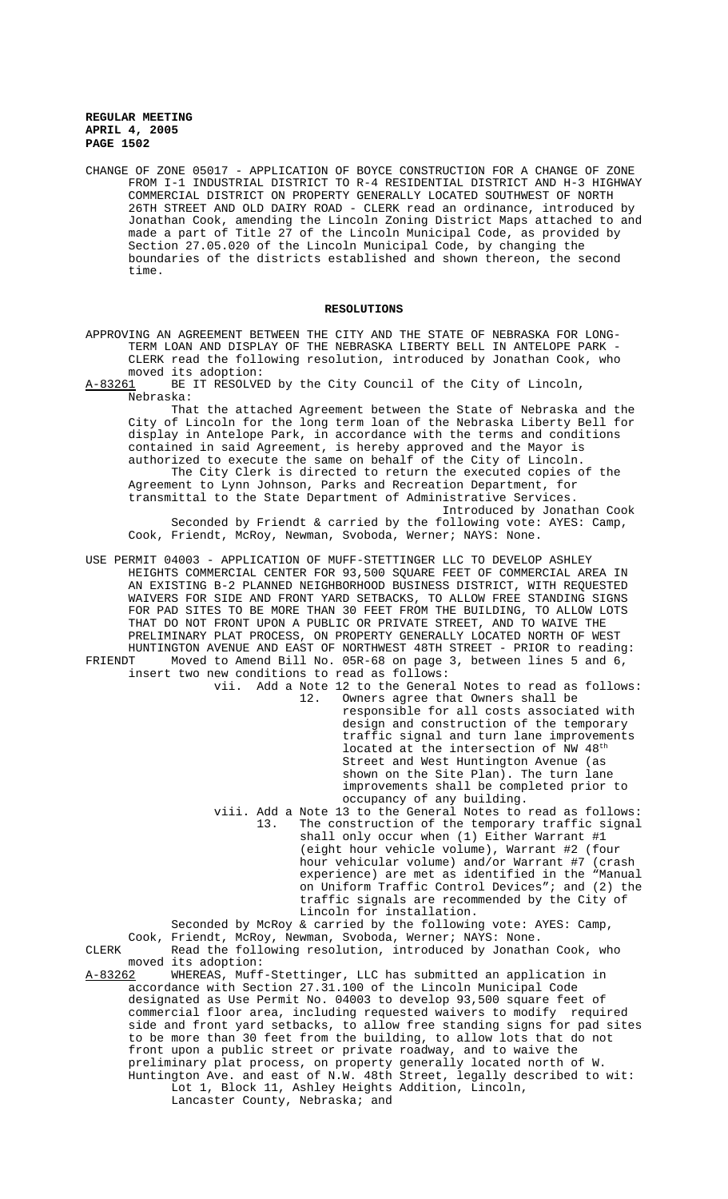CHANGE OF ZONE 05017 - APPLICATION OF BOYCE CONSTRUCTION FOR A CHANGE OF ZONE FROM I-1 INDUSTRIAL DISTRICT TO R-4 RESIDENTIAL DISTRICT AND H-3 HIGHWAY COMMERCIAL DISTRICT ON PROPERTY GENERALLY LOCATED SOUTHWEST OF NORTH 26TH STREET AND OLD DAIRY ROAD - CLERK read an ordinance, introduced by Jonathan Cook, amending the Lincoln Zoning District Maps attached to and made a part of Title 27 of the Lincoln Municipal Code, as provided by Section 27.05.020 of the Lincoln Municipal Code, by changing the boundaries of the districts established and shown thereon, the second time.

## **RESOLUTIONS**

APPROVING AN AGREEMENT BETWEEN THE CITY AND THE STATE OF NEBRASKA FOR LONG-TERM LOAN AND DISPLAY OF THE NEBRASKA LIBERTY BELL IN ANTELOPE PARK - CLERK read the following resolution, introduced by Jonathan Cook, who moved its adoption:<br>A-83261 BE IT RESOLVE

BE IT RESOLVED by the City Council of the City of Lincoln, Nebraska:

That the attached Agreement between the State of Nebraska and the City of Lincoln for the long term loan of the Nebraska Liberty Bell for display in Antelope Park, in accordance with the terms and conditions contained in said Agreement, is hereby approved and the Mayor is authorized to execute the same on behalf of the City of Lincoln.

The City Clerk is directed to return the executed copies of the Agreement to Lynn Johnson, Parks and Recreation Department, for transmittal to the State Department of Administrative Services.

Introduced by Jonathan Cook Seconded by Friendt & carried by the following vote: AYES: Camp, Cook, Friendt, McRoy, Newman, Svoboda, Werner; NAYS: None.

USE PERMIT 04003 - APPLICATION OF MUFF-STETTINGER LLC TO DEVELOP ASHLEY HEIGHTS COMMERCIAL CENTER FOR 93,500 SQUARE FEET OF COMMERCIAL AREA IN AN EXISTING B-2 PLANNED NEIGHBORHOOD BUSINESS DISTRICT, WITH REQUESTED WAIVERS FOR SIDE AND FRONT YARD SETBACKS, TO ALLOW FREE STANDING SIGNS FOR PAD SITES TO BE MORE THAN 30 FEET FROM THE BUILDING, TO ALLOW LOTS THAT DO NOT FRONT UPON A PUBLIC OR PRIVATE STREET, AND TO WAIVE THE PRELIMINARY PLAT PROCESS, ON PROPERTY GENERALLY LOCATED NORTH OF WEST HUNTINGTON AVENUE AND EAST OF NORTHWEST 48TH STREET - PRIOR to reading: FRIENDT Moved to Amend Bill No. 05R-68 on page 3, between lines 5 and 6, insert two new conditions to read as follows:

vii. Add a Note 12 to the General Notes to read as follows:<br>12. Owners agree that Owners shall be Owners agree that Owners shall be

responsible for all costs associated with design and construction of the temporary traffic signal and turn lane improvements located at the intersection of NW 48<sup>th</sup> Street and West Huntington Avenue (as shown on the Site Plan). The turn lane improvements shall be completed prior to occupancy of any building.

viii. Add a Note 13 to the General Notes to read as follows:<br>13. The construction of the temporary traffic signal The construction of the temporary traffic signal shall only occur when (1) Either Warrant #1 (eight hour vehicle volume), Warrant #2 (four hour vehicular volume) and/or Warrant #7 (crash experience) are met as identified in the "Manual on Uniform Traffic Control Devices"; and (2) the traffic signals are recommended by the City of Lincoln for installation.

Seconded by McRoy & carried by the following vote: AYES: Camp, Cook, Friendt, McRoy, Newman, Svoboda, Werner; NAYS: None. CLERK Read the following resolution, introduced by Jonathan Cook, who moved its adoption:<br>A-83262 WHEREAS, Muff

WHEREAS, Muff-Stettinger, LLC has submitted an application in accordance with Section 27.31.100 of the Lincoln Municipal Code designated as Use Permit No. 04003 to develop 93,500 square feet of commercial floor area, including requested waivers to modify required side and front yard setbacks, to allow free standing signs for pad sites to be more than 30 feet from the building, to allow lots that do not front upon a public street or private roadway, and to waive the preliminary plat process, on property generally located north of W. Huntington Ave. and east of N.W. 48th Street, legally described to wit: Lot 1, Block 11, Ashley Heights Addition, Lincoln, Lancaster County, Nebraska; and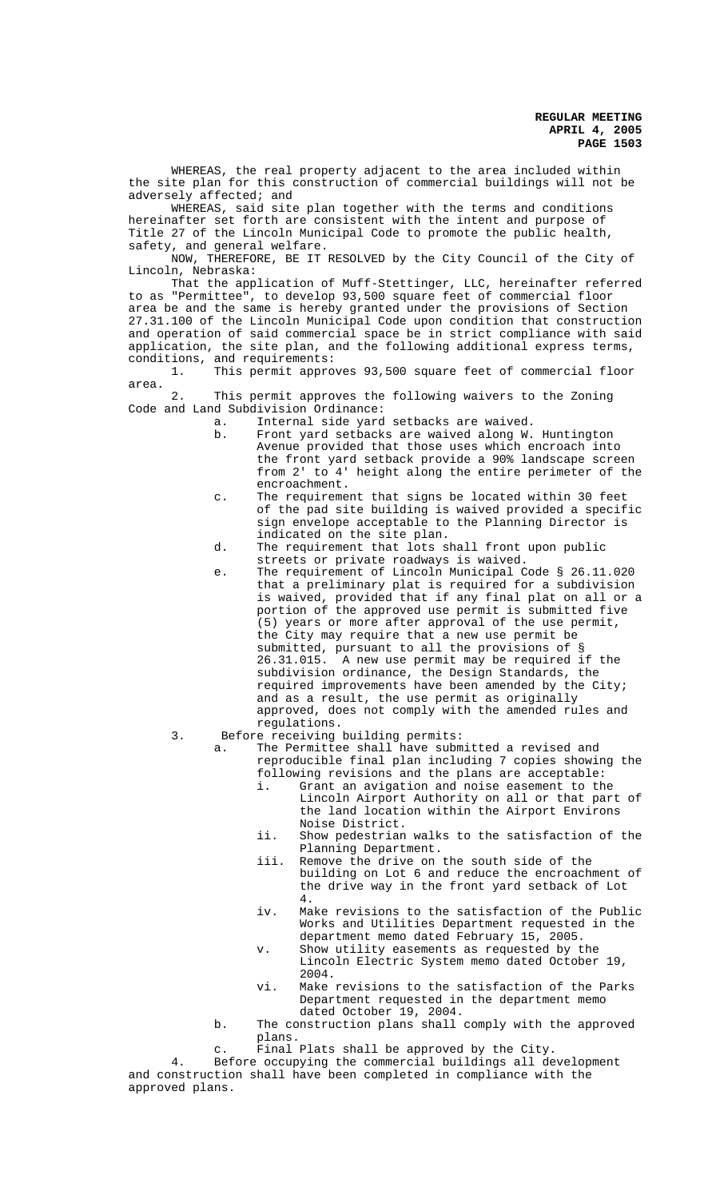WHEREAS, the real property adjacent to the area included within the site plan for this construction of commercial buildings will not be adversely affected; and

WHEREAS, said site plan together with the terms and conditions hereinafter set forth are consistent with the intent and purpose of Title 27 of the Lincoln Municipal Code to promote the public health, safety, and general welfare.

NOW, THEREFORE, BE IT RESOLVED by the City Council of the City of Lincoln, Nebraska:

That the application of Muff-Stettinger, LLC, hereinafter referred to as "Permittee", to develop 93,500 square feet of commercial floor area be and the same is hereby granted under the provisions of Section 27.31.100 of the Lincoln Municipal Code upon condition that construction and operation of said commercial space be in strict compliance with said application, the site plan, and the following additional express terms, conditions, and requirements:

1. This permit approves 93,500 square feet of commercial floor area.

2. This permit approves the following waivers to the Zoning Code and Land Subdivision Ordinance:

- a. Internal side yard setbacks are waived.<br>b. Front vard setbacks are waived along W.
	- Front yard setbacks are waived along W. Huntington Avenue provided that those uses which encroach into the front yard setback provide a 90% landscape screen from 2' to 4' height along the entire perimeter of the encroachment.
- c. The requirement that signs be located within 30 feet of the pad site building is waived provided a specific sign envelope acceptable to the Planning Director is indicated on the site plan.
- d. The requirement that lots shall front upon public streets or private roadways is waived.
- e. The requirement of Lincoln Municipal Code § 26.11.020 that a preliminary plat is required for a subdivision is waived, provided that if any final plat on all or a portion of the approved use permit is submitted five (5) years or more after approval of the use permit, the City may require that a new use permit be submitted, pursuant to all the provisions of § 26.31.015. A new use permit may be required if the subdivision ordinance, the Design Standards, the required improvements have been amended by the City; and as a result, the use permit as originally approved, does not comply with the amended rules and regulations.
- 3. Before receiving building permits:

a. The Permittee shall have submitted a revised and reproducible final plan including 7 copies showing the following revisions and the plans are acceptable:

- i. Grant an avigation and noise easement to the Lincoln Airport Authority on all or that part of the land location within the Airport Environs Noise District.
- ii. Show pedestrian walks to the satisfaction of the Planning Department.
- iii. Remove the drive on the south side of the building on Lot 6 and reduce the encroachment of the drive way in the front yard setback of Lot 4.
- iv. Make revisions to the satisfaction of the Public Works and Utilities Department requested in the department memo dated February 15, 2005.
- v. Show utility easements as requested by the Lincoln Electric System memo dated October 19, 2004.
- vi. Make revisions to the satisfaction of the Parks Department requested in the department memo dated October 19, 2004.
- b. The construction plans shall comply with the approved plans.
- c. Final Plats shall be approved by the City.

4. Before occupying the commercial buildings all development and construction shall have been completed in compliance with the approved plans.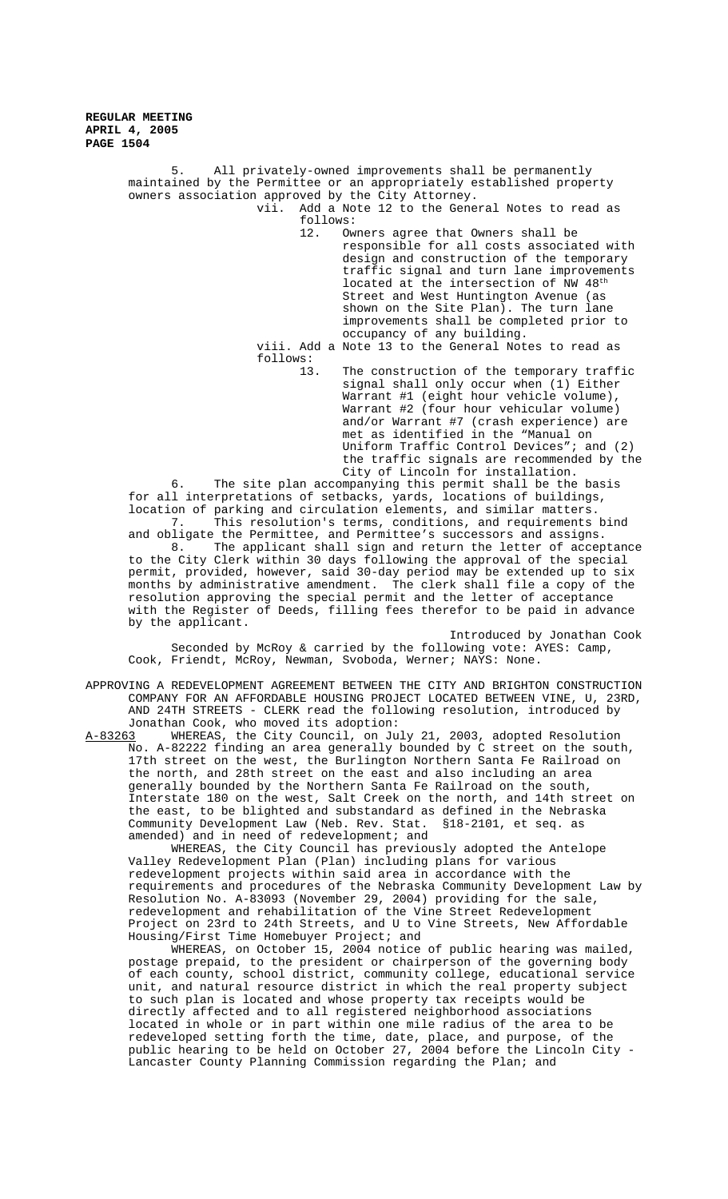5. All privately-owned improvements shall be permanently maintained by the Permittee or an appropriately established property owners association approved by the City Attorney. vii. Add a Note 12 to the General Notes to read as follows: 12. Owners agree that Owners shall be responsible for all costs associated with design and construction of the temporary traffic signal and turn lane improvements located at the intersection of NW 48<sup>th</sup> Street and West Huntington Avenue (as shown on the Site Plan). The turn lane improvements shall be completed prior to occupancy of any building. viii. Add a Note 13 to the General Notes to read as follows: 13. The construction of the temporary traffic signal shall only occur when (1) Either Warrant #1 (eight hour vehicle volume), Warrant #2 (four hour vehicular volume) and/or Warrant #7 (crash experience) are met as identified in the "Manual on Uniform Traffic Control Devices"; and (2) the traffic signals are recommended by the City of Lincoln for installation. 6. The site plan accompanying this permit shall be the basis for all interpretations of setbacks, yards, locations of buildings, location of parking and circulation elements, and similar matters. 7. This resolution's terms, conditions, and requirements bind and obligate the Permittee, and Permittee's successors and assigns. 8. The applicant shall sign and return the letter of acceptance to the City Clerk within 30 days following the approval of the special permit, provided, however, said 30-day period may be extended up to six months by administrative amendment. The clerk shall file a copy of the resolution approving the special permit and the letter of acceptance with the Register of Deeds, filling fees therefor to be paid in advance

by the applicant. Introduced by Jonathan Cook Seconded by McRoy & carried by the following vote: AYES: Camp, Cook, Friendt, McRoy, Newman, Svoboda, Werner; NAYS: None.

APPROVING A REDEVELOPMENT AGREEMENT BETWEEN THE CITY AND BRIGHTON CONSTRUCTION COMPANY FOR AN AFFORDABLE HOUSING PROJECT LOCATED BETWEEN VINE, U, 23RD, AND 24TH STREETS - CLERK read the following resolution, introduced by Jonathan Cook, who moved its adoption:<br>A-83263 WHEREAS, the City Council, on Ju

A-83263 WHEREAS, the City Council, on July 21, 2003, adopted Resolution No. A-82222 finding an area generally bounded by C street on the south, 17th street on the west, the Burlington Northern Santa Fe Railroad on the north, and 28th street on the east and also including an area generally bounded by the Northern Santa Fe Railroad on the south, Interstate 180 on the west, Salt Creek on the north, and 14th street on the east, to be blighted and substandard as defined in the Nebraska Community Development Law (Neb. Rev. Stat. §18-2101, et seq. as amended) and in need of redevelopment; and

WHEREAS, the City Council has previously adopted the Antelope Valley Redevelopment Plan (Plan) including plans for various redevelopment projects within said area in accordance with the requirements and procedures of the Nebraska Community Development Law by Resolution No. A-83093 (November 29, 2004) providing for the sale, redevelopment and rehabilitation of the Vine Street Redevelopment Project on 23rd to 24th Streets, and U to Vine Streets, New Affordable Housing/First Time Homebuyer Project; and

WHEREAS, on October 15, 2004 notice of public hearing was mailed, postage prepaid, to the president or chairperson of the governing body of each county, school district, community college, educational service unit, and natural resource district in which the real property subject to such plan is located and whose property tax receipts would be directly affected and to all registered neighborhood associations located in whole or in part within one mile radius of the area to be redeveloped setting forth the time, date, place, and purpose, of the public hearing to be held on October 27, 2004 before the Lincoln City - Lancaster County Planning Commission regarding the Plan; and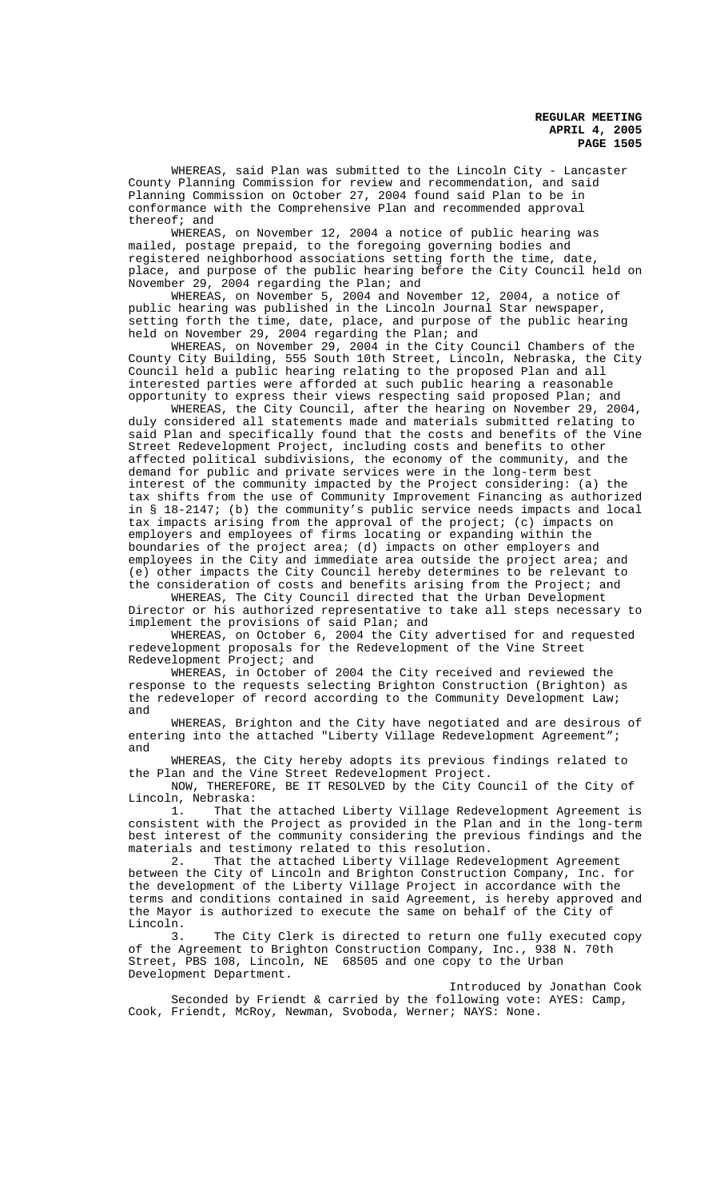WHEREAS, said Plan was submitted to the Lincoln City - Lancaster County Planning Commission for review and recommendation, and said Planning Commission on October 27, 2004 found said Plan to be in conformance with the Comprehensive Plan and recommended approval thereof; and

WHEREAS, on November 12, 2004 a notice of public hearing was mailed, postage prepaid, to the foregoing governing bodies and registered neighborhood associations setting forth the time, date, place, and purpose of the public hearing before the City Council held on November 29, 2004 regarding the Plan; and

WHEREAS, on November 5, 2004 and November 12, 2004, a notice of public hearing was published in the Lincoln Journal Star newspaper, setting forth the time, date, place, and purpose of the public hearing held on November 29, 2004 regarding the Plan; and

WHEREAS, on November 29, 2004 in the City Council Chambers of the County City Building, 555 South 10th Street, Lincoln, Nebraska, the City Council held a public hearing relating to the proposed Plan and all interested parties were afforded at such public hearing a reasonable opportunity to express their views respecting said proposed Plan; and

WHEREAS, the City Council, after the hearing on November 29, 2004, duly considered all statements made and materials submitted relating to said Plan and specifically found that the costs and benefits of the Vine Street Redevelopment Project, including costs and benefits to other affected political subdivisions, the economy of the community, and the demand for public and private services were in the long-term best interest of the community impacted by the Project considering: (a) the tax shifts from the use of Community Improvement Financing as authorized in § 18-2147; (b) the community's public service needs impacts and local tax impacts arising from the approval of the project; (c) impacts on employers and employees of firms locating or expanding within the boundaries of the project area; (d) impacts on other employers and employees in the City and immediate area outside the project area; and (e) other impacts the City Council hereby determines to be relevant to the consideration of costs and benefits arising from the Project; and

WHEREAS, The City Council directed that the Urban Development Director or his authorized representative to take all steps necessary to implement the provisions of said Plan; and

WHEREAS, on October 6, 2004 the City advertised for and requested redevelopment proposals for the Redevelopment of the Vine Street Redevelopment Project; and

WHEREAS, in October of 2004 the City received and reviewed the response to the requests selecting Brighton Construction (Brighton) as the redeveloper of record according to the Community Development Law; and

WHEREAS, Brighton and the City have negotiated and are desirous of entering into the attached "Liberty Village Redevelopment Agreement"; and

WHEREAS, the City hereby adopts its previous findings related to the Plan and the Vine Street Redevelopment Project.

NOW, THEREFORE, BE IT RESOLVED by the City Council of the City of Lincoln, Nebraska:<br>1. That t

That the attached Liberty Village Redevelopment Agreement is consistent with the Project as provided in the Plan and in the long-term best interest of the community considering the previous findings and the materials and testimony related to this resolution.

2. That the attached Liberty Village Redevelopment Agreement between the City of Lincoln and Brighton Construction Company, Inc. for the development of the Liberty Village Project in accordance with the terms and conditions contained in said Agreement, is hereby approved and the Mayor is authorized to execute the same on behalf of the City of Lincoln.

3. The City Clerk is directed to return one fully executed copy of the Agreement to Brighton Construction Company, Inc., 938 N. 70th Street, PBS 108, Lincoln, NE 68505 and one copy to the Urban Development Department.

Introduced by Jonathan Cook Seconded by Friendt & carried by the following vote: AYES: Camp, Cook, Friendt, McRoy, Newman, Svoboda, Werner; NAYS: None.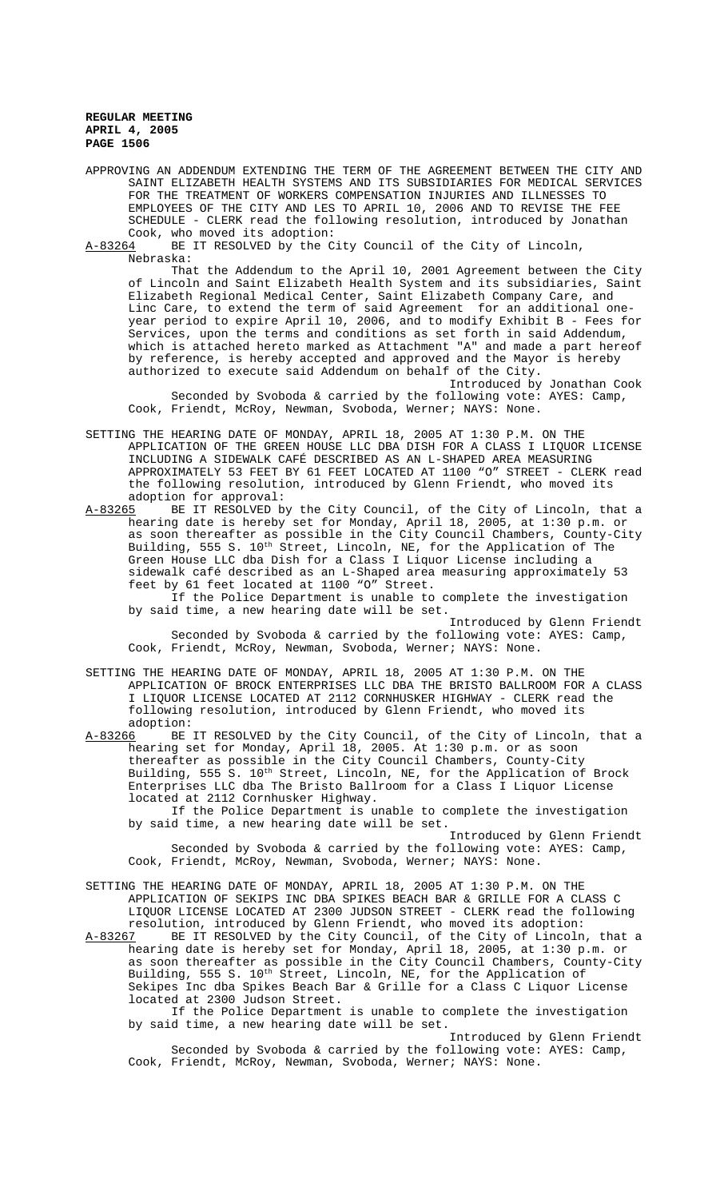APPROVING AN ADDENDUM EXTENDING THE TERM OF THE AGREEMENT BETWEEN THE CITY AND SAINT ELIZABETH HEALTH SYSTEMS AND ITS SUBSIDIARIES FOR MEDICAL SERVICES FOR THE TREATMENT OF WORKERS COMPENSATION INJURIES AND ILLNESSES TO EMPLOYEES OF THE CITY AND LES TO APRIL 10, 2006 AND TO REVISE THE FEE SCHEDULE - CLERK read the following resolution, introduced by Jonathan

Cook, who moved its adoption:<br>A-83264 BE IT RESOLVED by the C BE IT RESOLVED by the City Council of the City of Lincoln, Nebraska:

That the Addendum to the April 10, 2001 Agreement between the City of Lincoln and Saint Elizabeth Health System and its subsidiaries, Saint Elizabeth Regional Medical Center, Saint Elizabeth Company Care, and Linc Care, to extend the term of said Agreement for an additional oneyear period to expire April 10, 2006, and to modify Exhibit B - Fees for Services, upon the terms and conditions as set forth in said Addendum, which is attached hereto marked as Attachment "A" and made a part hereof by reference, is hereby accepted and approved and the Mayor is hereby authorized to execute said Addendum on behalf of the City.

Introduced by Jonathan Cook Seconded by Svoboda & carried by the following vote: AYES: Camp, Cook, Friendt, McRoy, Newman, Svoboda, Werner; NAYS: None.

SETTING THE HEARING DATE OF MONDAY, APRIL 18, 2005 AT 1:30 P.M. ON THE APPLICATION OF THE GREEN HOUSE LLC DBA DISH FOR A CLASS I LIQUOR LICENSE INCLUDING A SIDEWALK CAFÉ DESCRIBED AS AN L-SHAPED AREA MEASURING APPROXIMATELY 53 FEET BY 61 FEET LOCATED AT 1100 "O" STREET - CLERK read the following resolution, introduced by Glenn Friendt, who moved its adoption for approval:

A-83265 BE IT RESOLVED by the City Council, of the City of Lincoln, that a hearing date is hereby set for Monday, April 18, 2005, at 1:30 p.m. or as soon thereafter as possible in the City Council Chambers, County-City Building, 555 S. 10<sup>th</sup> Street, Lincoln, NE, for the Application of The Green House LLC dba Dish for a Class I Liquor License including a sidewalk café described as an L-Shaped area measuring approximately 53 feet by 61 feet located at 1100 "O" Street. If the Police Department is unable to complete the investigation

by said time, a new hearing date will be set.

Introduced by Glenn Friendt Seconded by Svoboda & carried by the following vote: AYES: Camp, Cook, Friendt, McRoy, Newman, Svoboda, Werner; NAYS: None.

SETTING THE HEARING DATE OF MONDAY, APRIL 18, 2005 AT 1:30 P.M. ON THE APPLICATION OF BROCK ENTERPRISES LLC DBA THE BRISTO BALLROOM FOR A CLASS I LIQUOR LICENSE LOCATED AT 2112 CORNHUSKER HIGHWAY - CLERK read the following resolution, introduced by Glenn Friendt, who moved its adoption:<br>A-83266 BE

A-83266 BE IT RESOLVED by the City Council, of the City of Lincoln, that a hearing set for Monday, April 18, 2005. At 1:30 p.m. or as soon thereafter as possible in the City Council Chambers, County-City Building, 555 S. 10<sup>th</sup> Street, Lincoln, NE, for the Application of Brock Enterprises LLC dba The Bristo Ballroom for a Class I Liquor License located at 2112 Cornhusker Highway.

If the Police Department is unable to complete the investigation by said time, a new hearing date will be set.

Introduced by Glenn Friendt Seconded by Svoboda & carried by the following vote: AYES: Camp, Cook, Friendt, McRoy, Newman, Svoboda, Werner; NAYS: None.

SETTING THE HEARING DATE OF MONDAY, APRIL 18, 2005 AT 1:30 P.M. ON THE APPLICATION OF SEKIPS INC DBA SPIKES BEACH BAR & GRILLE FOR A CLASS C LIQUOR LICENSE LOCATED AT 2300 JUDSON STREET - CLERK read the following resolution, introduced by Glenn Friendt, who moved its adoption:<br>A-83267 BE IT RESOLVED by the City Council, of the City of Lincoln

A-83267 BE IT RESOLVED by the City Council, of the City of Lincoln, that a hearing date is hereby set for Monday, April 18, 2005, at 1:30 p.m. or as soon thereafter as possible in the City Council Chambers, County-City Building, 555 S. 10<sup>th</sup> Street, Lincoln, NE, for the Application of Sekipes Inc dba Spikes Beach Bar & Grille for a Class C Liquor License located at 2300 Judson Street.

If the Police Department is unable to complete the investigation by said time, a new hearing date will be set.

Introduced by Glenn Friendt Seconded by Svoboda & carried by the following vote: AYES: Camp, Cook, Friendt, McRoy, Newman, Svoboda, Werner; NAYS: None.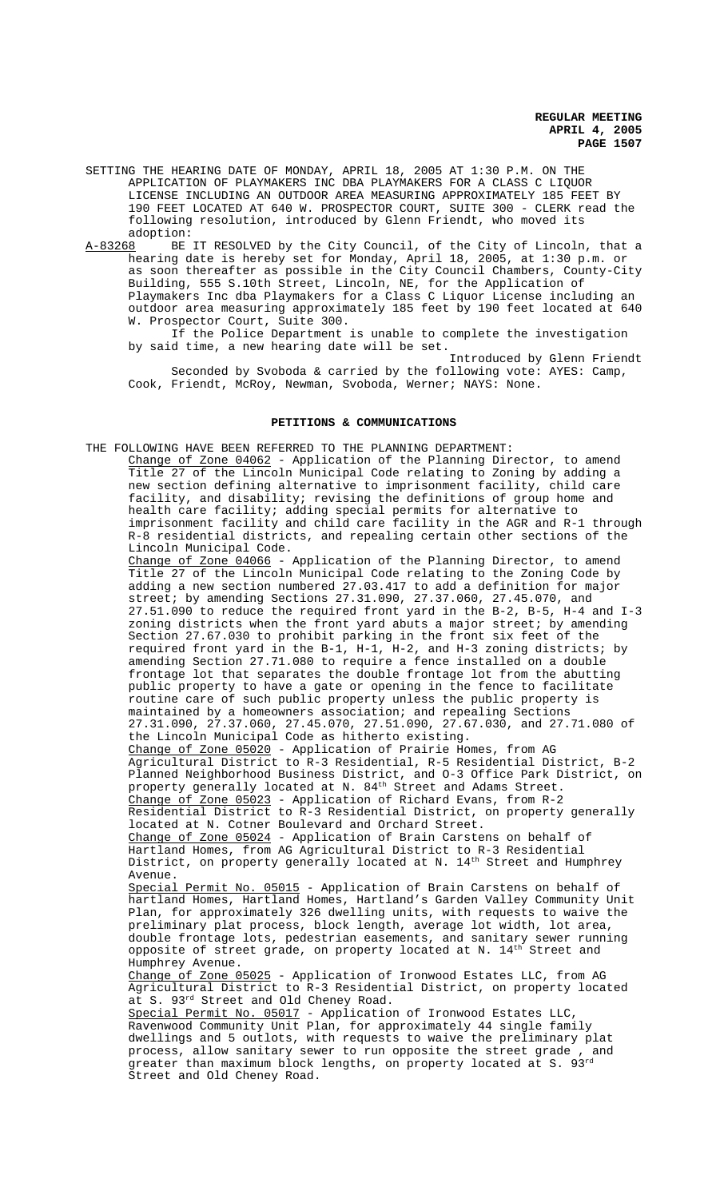SETTING THE HEARING DATE OF MONDAY, APRIL 18, 2005 AT 1:30 P.M. ON THE APPLICATION OF PLAYMAKERS INC DBA PLAYMAKERS FOR A CLASS C LIQUOR LICENSE INCLUDING AN OUTDOOR AREA MEASURING APPROXIMATELY 185 FEET BY 190 FEET LOCATED AT 640 W. PROSPECTOR COURT, SUITE 300 - CLERK read the following resolution, introduced by Glenn Friendt, who moved its adoption:

A-83268 BE IT RESOLVED by the City Council, of the City of Lincoln, that a hearing date is hereby set for Monday, April 18, 2005, at 1:30 p.m. or as soon thereafter as possible in the City Council Chambers, County-City Building, 555 S.10th Street, Lincoln, NE, for the Application of Playmakers Inc dba Playmakers for a Class C Liquor License including an outdoor area measuring approximately 185 feet by 190 feet located at 640 W. Prospector Court, Suite 300.

If the Police Department is unable to complete the investigation by said time, a new hearing date will be set.

Introduced by Glenn Friendt Seconded by Svoboda & carried by the following vote: AYES: Camp, Cook, Friendt, McRoy, Newman, Svoboda, Werner; NAYS: None.

#### **PETITIONS & COMMUNICATIONS**

THE FOLLOWING HAVE BEEN REFERRED TO THE PLANNING DEPARTMENT:

Change of Zone 04062 - Application of the Planning Director, to amend Title 27 of the Lincoln Municipal Code relating to Zoning by adding a new section defining alternative to imprisonment facility, child care facility, and disability; revising the definitions of group home and health care facility; adding special permits for alternative to imprisonment facility and child care facility in the AGR and R-1 through R-8 residential districts, and repealing certain other sections of the Lincoln Municipal Code.

Change of Zone 04066 - Application of the Planning Director, to amend Title 27 of the Lincoln Municipal Code relating to the Zoning Code by adding a new section numbered 27.03.417 to add a definition for major street; by amending Sections 27.31.090, 27.37.060, 27.45.070, and 27.51.090 to reduce the required front yard in the B-2, B-5, H-4 and I-3 zoning districts when the front yard abuts a major street; by amending Section 27.67.030 to prohibit parking in the front six feet of the required front yard in the B-1, H-1, H-2, and H-3 zoning districts; by amending Section 27.71.080 to require a fence installed on a double frontage lot that separates the double frontage lot from the abutting public property to have a gate or opening in the fence to facilitate routine care of such public property unless the public property is maintained by a homeowners association; and repealing Sections 27.31.090, 27.37.060, 27.45.070, 27.51.090, 27.67.030, and 27.71.080 of the Lincoln Municipal Code as hitherto existing. Change of Zone 05020 - Application of Prairie Homes, from AG Agricultural District to R-3 Residential, R-5 Residential District, B-2 Planned Neighborhood Business District, and O-3 Office Park District, on property generally located at N. 84<sup>th</sup> Street and Adams Street. Change of Zone 05023 - Application of Richard Evans, from R-2 Residential District to R-3 Residential District, on property generally located at N. Cotner Boulevard and Orchard Street. Change of Zone 05024 - Application of Brain Carstens on behalf of Hartland Homes, from AG Agricultural District to R-3 Residential District, on property generally located at N.  $14^{\rm th}$  Street and Humphrey

Avenue. Special Permit No. 05015 - Application of Brain Carstens on behalf of hartland Homes, Hartland Homes, Hartland's Garden Valley Community Unit Plan, for approximately 326 dwelling units, with requests to waive the preliminary plat process, block length, average lot width, lot area, double frontage lots, pedestrian easements, and sanitary sewer running opposite of street grade, on property located at N.  $14^{\rm th}$  Street and Humphrey Avenue.

Change of Zone 05025 - Application of Ironwood Estates LLC, from AG Agricultural District to R-3 Residential District, on property located at S. 93rd Street and Old Cheney Road.

Special Permit No. 05017 - Application of Ironwood Estates LLC Ravenwood Community Unit Plan, for approximately 44 single family dwellings and 5 outlots, with requests to waive the preliminary plat<br>process, allow sanitary sewer to run opposite the street grade, and process, allow sanitary sewer to run opposite the street grade greater than maximum block lengths, on property located at S. 93rd Street and Old Cheney Road.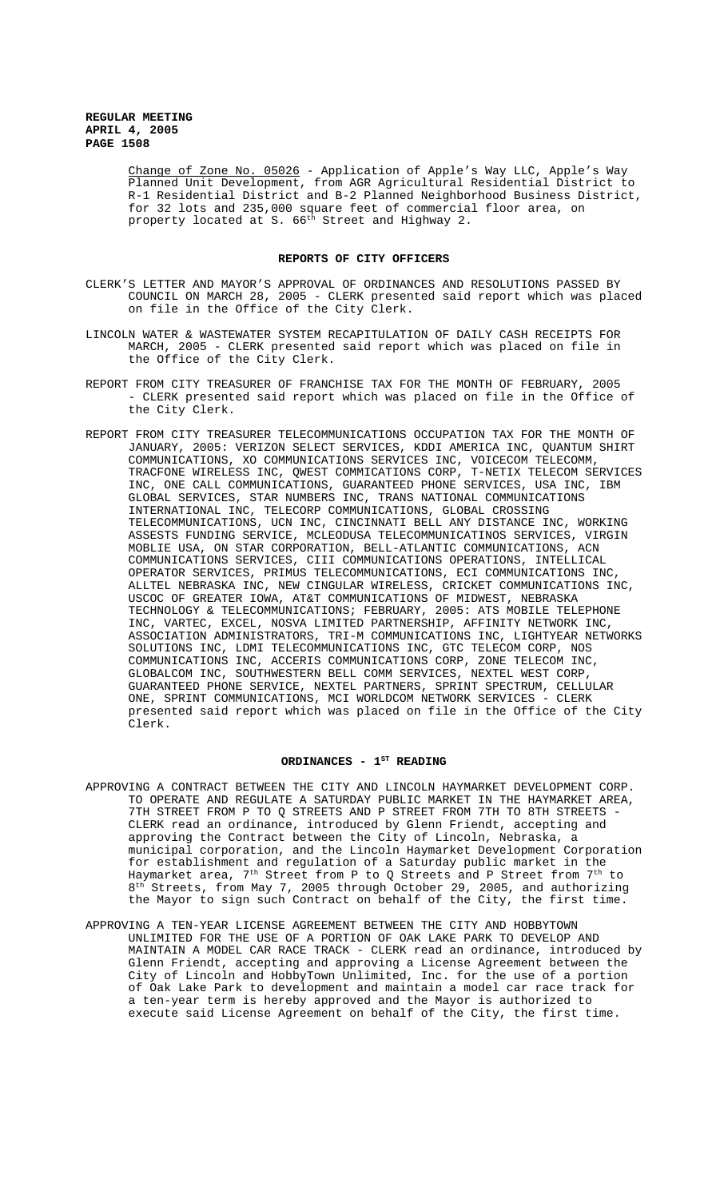Change of Zone No. 05026 - Application of Apple's Way LLC, Apple's Way Planned Unit Development, from AGR Agricultural Residential District to R-1 Residential District and B-2 Planned Neighborhood Business District, for 32 lots and 235,000 square feet of commercial floor area, on property located at S. 66<sup>th</sup> Street and Highway 2.

### **REPORTS OF CITY OFFICERS**

- CLERK'S LETTER AND MAYOR'S APPROVAL OF ORDINANCES AND RESOLUTIONS PASSED BY COUNCIL ON MARCH 28, 2005 - CLERK presented said report which was placed on file in the Office of the City Clerk.
- LINCOLN WATER & WASTEWATER SYSTEM RECAPITULATION OF DAILY CASH RECEIPTS FOR MARCH, 2005 - CLERK presented said report which was placed on file in the Office of the City Clerk.
- REPORT FROM CITY TREASURER OF FRANCHISE TAX FOR THE MONTH OF FEBRUARY, 2005 - CLERK presented said report which was placed on file in the Office of the City Clerk.
- REPORT FROM CITY TREASURER TELECOMMUNICATIONS OCCUPATION TAX FOR THE MONTH OF JANUARY, 2005: VERIZON SELECT SERVICES, KDDI AMERICA INC, QUANTUM SHIRT COMMUNICATIONS, XO COMMUNICATIONS SERVICES INC, VOICECOM TELECOMM, TRACFONE WIRELESS INC, QWEST COMMICATIONS CORP, T-NETIX TELECOM SERVICES INC, ONE CALL COMMUNICATIONS, GUARANTEED PHONE SERVICES, USA INC, IBM GLOBAL SERVICES, STAR NUMBERS INC, TRANS NATIONAL COMMUNICATIONS INTERNATIONAL INC, TELECORP COMMUNICATIONS, GLOBAL CROSSING TELECOMMUNICATIONS, UCN INC, CINCINNATI BELL ANY DISTANCE INC, WORKING ASSESTS FUNDING SERVICE, MCLEODUSA TELECOMMUNICATINOS SERVICES, VIRGIN MOBLIE USA, ON STAR CORPORATION, BELL-ATLANTIC COMMUNICATIONS, ACN COMMUNICATIONS SERVICES, CIII COMMUNICATIONS OPERATIONS, INTELLICAL OPERATOR SERVICES, PRIMUS TELECOMMUNICATIONS, ECI COMMUNICATIONS INC, ALLTEL NEBRASKA INC, NEW CINGULAR WIRELESS, CRICKET COMMUNICATIONS INC, USCOC OF GREATER IOWA, AT&T COMMUNICATIONS OF MIDWEST, NEBRASKA TECHNOLOGY & TELECOMMUNICATIONS; FEBRUARY, 2005: ATS MOBILE TELEPHONE INC, VARTEC, EXCEL, NOSVA LIMITED PARTNERSHIP, AFFINITY NETWORK INC, ASSOCIATION ADMINISTRATORS, TRI-M COMMUNICATIONS INC, LIGHTYEAR NETWORKS SOLUTIONS INC, LDMI TELECOMMUNICATIONS INC, GTC TELECOM CORP, NOS COMMUNICATIONS INC, ACCERIS COMMUNICATIONS CORP, ZONE TELECOM INC, GLOBALCOM INC, SOUTHWESTERN BELL COMM SERVICES, NEXTEL WEST CORP, GUARANTEED PHONE SERVICE, NEXTEL PARTNERS, SPRINT SPECTRUM, CELLULAR ONE, SPRINT COMMUNICATIONS, MCI WORLDCOM NETWORK SERVICES - CLERK presented said report which was placed on file in the Office of the City Clerk.

# ORDINANCES - 1<sup>st</sup> READING

- APPROVING A CONTRACT BETWEEN THE CITY AND LINCOLN HAYMARKET DEVELOPMENT CORP. TO OPERATE AND REGULATE A SATURDAY PUBLIC MARKET IN THE HAYMARKET AREA, 7TH STREET FROM P TO Q STREETS AND P STREET FROM 7TH TO 8TH STREETS - CLERK read an ordinance, introduced by Glenn Friendt, accepting and approving the Contract between the City of Lincoln, Nebraska, a municipal corporation, and the Lincoln Haymarket Development Corporation for establishment and regulation of a Saturday public market in the Haymarket area,  $7^{\rm th}$  Street from P to Q Streets and P Street from  $7^{\rm th}$  to 8<sup>th</sup> Streets, from May 7, 2005 through October 29, 2005, and authorizing the Mayor to sign such Contract on behalf of the City, the first time.
- APPROVING A TEN-YEAR LICENSE AGREEMENT BETWEEN THE CITY AND HOBBYTOWN UNLIMITED FOR THE USE OF A PORTION OF OAK LAKE PARK TO DEVELOP AND MAINTAIN A MODEL CAR RACE TRACK - CLERK read an ordinance, introduced by Glenn Friendt, accepting and approving a License Agreement between the City of Lincoln and HobbyTown Unlimited, Inc. for the use of a portion of Oak Lake Park to development and maintain a model car race track for a ten-year term is hereby approved and the Mayor is authorized to execute said License Agreement on behalf of the City, the first time.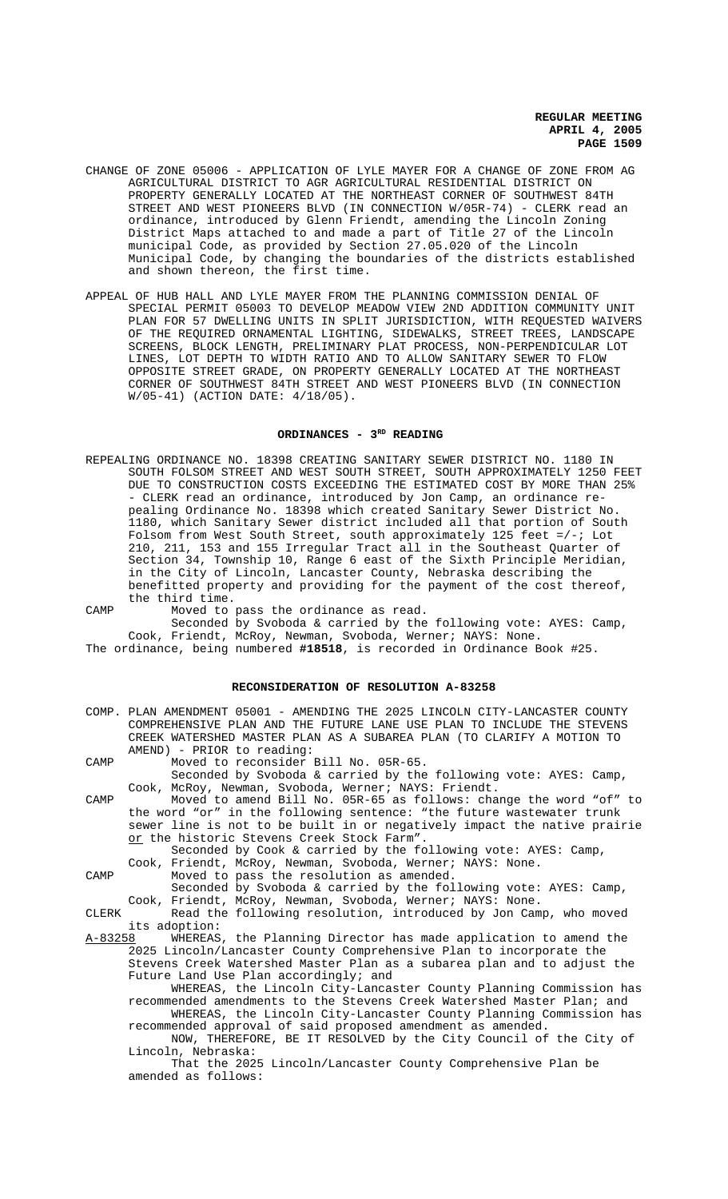- CHANGE OF ZONE 05006 APPLICATION OF LYLE MAYER FOR A CHANGE OF ZONE FROM AG AGRICULTURAL DISTRICT TO AGR AGRICULTURAL RESIDENTIAL DISTRICT ON PROPERTY GENERALLY LOCATED AT THE NORTHEAST CORNER OF SOUTHWEST 84TH STREET AND WEST PIONEERS BLVD (IN CONNECTION W/05R-74) - CLERK read an ordinance, introduced by Glenn Friendt, amending the Lincoln Zoning District Maps attached to and made a part of Title 27 of the Lincoln municipal Code, as provided by Section 27.05.020 of the Lincoln Municipal Code, by changing the boundaries of the districts established and shown thereon, the first time.
- APPEAL OF HUB HALL AND LYLE MAYER FROM THE PLANNING COMMISSION DENIAL OF SPECIAL PERMIT 05003 TO DEVELOP MEADOW VIEW 2ND ADDITION COMMUNITY UNIT PLAN FOR 57 DWELLING UNITS IN SPLIT JURISDICTION, WITH REQUESTED WAIVERS OF THE REQUIRED ORNAMENTAL LIGHTING, SIDEWALKS, STREET TREES, LANDSCAPE SCREENS, BLOCK LENGTH, PRELIMINARY PLAT PROCESS, NON-PERPENDICULAR LOT LINES, LOT DEPTH TO WIDTH RATIO AND TO ALLOW SANITARY SEWER TO FLOW OPPOSITE STREET GRADE, ON PROPERTY GENERALLY LOCATED AT THE NORTHEAST CORNER OF SOUTHWEST 84TH STREET AND WEST PIONEERS BLVD (IN CONNECTION W/05-41) (ACTION DATE: 4/18/05).

#### ORDINANCES - 3<sup>RD</sup> READING

- REPEALING ORDINANCE NO. 18398 CREATING SANITARY SEWER DISTRICT NO. 1180 IN SOUTH FOLSOM STREET AND WEST SOUTH STREET, SOUTH APPROXIMATELY 1250 FEET DUE TO CONSTRUCTION COSTS EXCEEDING THE ESTIMATED COST BY MORE THAN 25% - CLERK read an ordinance, introduced by Jon Camp, an ordinance repealing Ordinance No. 18398 which created Sanitary Sewer District No. 1180, which Sanitary Sewer district included all that portion of South Folsom from West South Street, south approximately 125 feet =/-; Lot 210, 211, 153 and 155 Irregular Tract all in the Southeast Quarter of Section 34, Township 10, Range 6 east of the Sixth Principle Meridian, in the City of Lincoln, Lancaster County, Nebraska describing the benefitted property and providing for the payment of the cost thereof, the third time.
- CAMP Moved to pass the ordinance as read. Seconded by Svoboda & carried by the following vote: AYES: Camp, Cook, Friendt, McRoy, Newman, Svoboda, Werner; NAYS: None.

# The ordinance, being numbered **#18518**, is recorded in Ordinance Book #25.

# **RECONSIDERATION OF RESOLUTION A-83258**

|         | COMP. PLAN AMENDMENT 05001 - AMENDING THE 2025 LINCOLN CITY-LANCASTER COUNTY<br>COMPREHENSIVE PLAN AND THE FUTURE LANE USE PLAN TO INCLUDE THE STEVENS |
|---------|--------------------------------------------------------------------------------------------------------------------------------------------------------|
|         | CREEK WATERSHED MASTER PLAN AS A SUBAREA PLAN (TO CLARIFY A MOTION TO                                                                                  |
|         | AMEND) - PRIOR to reading:                                                                                                                             |
| CAMP    | Moved to reconsider Bill No. 05R-65.                                                                                                                   |
|         | Seconded by Svoboda & carried by the following vote: AYES: Camp,                                                                                       |
|         | Cook, McRoy, Newman, Svoboda, Werner; NAYS: Friendt.                                                                                                   |
| CAMP    | Moved to amend Bill No. 05R-65 as follows: change the word "of" to                                                                                     |
|         | the word "or" in the following sentence: "the future wastewater trunk                                                                                  |
|         | sewer line is not to be built in or negatively impact the native prairie                                                                               |
|         | or the historic Stevens Creek Stock Farm".                                                                                                             |
|         | Seconded by Cook & carried by the following vote: AYES: Camp,                                                                                          |
|         | Cook, Friendt, McRoy, Newman, Svoboda, Werner; NAYS: None.                                                                                             |
| CAMP    | Moved to pass the resolution as amended.                                                                                                               |
|         | Seconded by Svoboda & carried by the following vote: AYES: Camp,                                                                                       |
|         | Cook, Friendt, McRoy, Newman, Svoboda, Werner; NAYS: None.                                                                                             |
| CLERK   | Read the following resolution, introduced by Jon Camp, who moved                                                                                       |
|         | its adoption:                                                                                                                                          |
| A-83258 | WHEREAS, the Planning Director has made application to amend the                                                                                       |
|         | 2025 Lincoln/Lancaster County Comprehensive Plan to incorporate the                                                                                    |
|         | Stevens Creek Watershed Master Plan as a subarea plan and to adjust the                                                                                |
|         | Future Land Use Plan accordingly; and                                                                                                                  |
|         | WHEREAS, the Lincoln City-Lancaster County Planning Commission has                                                                                     |
|         | recommended amendments to the Stevens Creek Watershed Master Plan; and                                                                                 |
|         | WHEREAS, the Lincoln City-Lancaster County Planning Commission has                                                                                     |
|         | recommended approval of said proposed amendment as amended.                                                                                            |
|         | NOW, THEREFORE, BE IT RESOLVED by the City Council of the City of                                                                                      |
|         | Lincoln, Nebraska:                                                                                                                                     |
|         | That the 2025 Lincoln/Lancaster County Comprehensive Plan be                                                                                           |
|         | amended as follows:                                                                                                                                    |
|         |                                                                                                                                                        |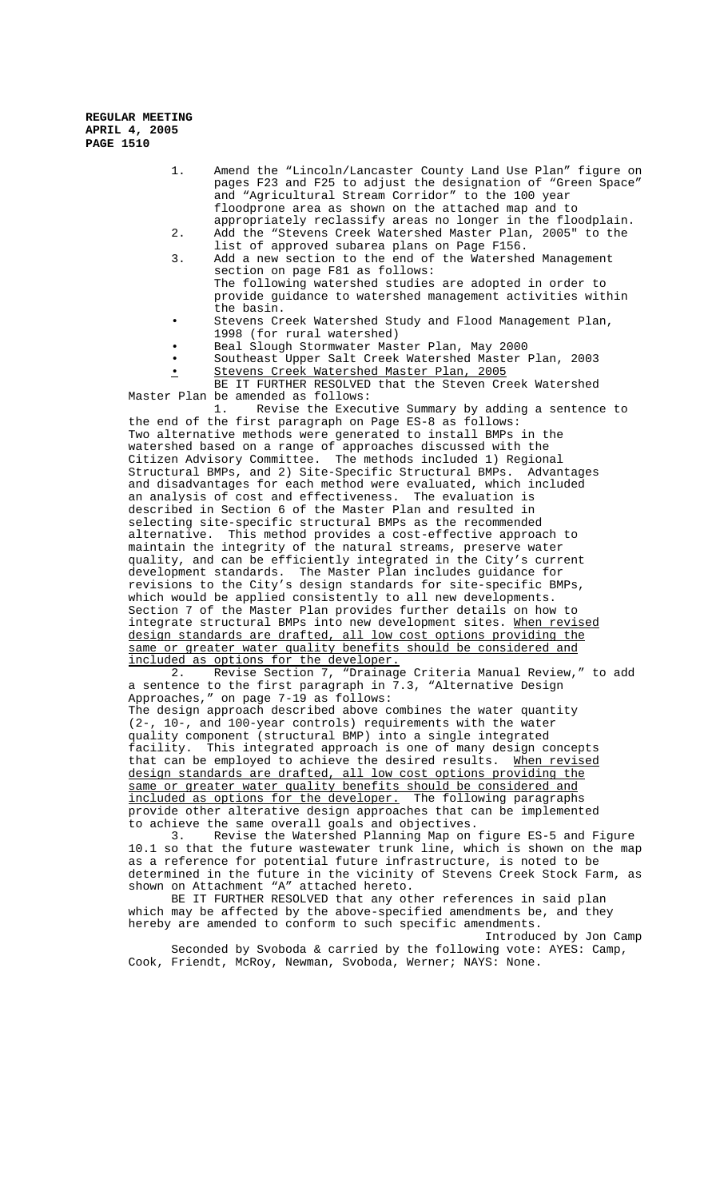- 1. Amend the "Lincoln/Lancaster County Land Use Plan" figure on pages F23 and F25 to adjust the designation of "Green Space" and "Agricultural Stream Corridor" to the 100 year floodprone area as shown on the attached map and to appropriately reclassify areas no longer in the floodplain.
- 2. Add the "Stevens Creek Watershed Master Plan, 2005" to the list of approved subarea plans on Page F156.
- 3. Add a new section to the end of the Watershed Management section on page F81 as follows: The following watershed studies are adopted in order to provide guidance to watershed management activities within the basin.
- Stevens Creek Watershed Study and Flood Management Plan, 1998 (for rural watershed)
- Beal Slough Stormwater Master Plan, May 2000
- Southeast Upper Salt Creek Watershed Master Plan, 2003
- Stevens Creek Watershed Master Plan, 2005

BE IT FURTHER RESOLVED that the Steven Creek Watershed Master Plan be amended as follows:<br>1. Revise the Execu

Revise the Executive Summary by adding a sentence to the end of the first paragraph on Page ES-8 as follows: Two alternative methods were generated to install BMPs in the watershed based on a range of approaches discussed with the Citizen Advisory Committee. The methods included 1) Regional Structural BMPs, and 2) Site-Specific Structural BMPs. Advantages and disadvantages for each method were evaluated, which included an analysis of cost and effectiveness. The evaluation is described in Section 6 of the Master Plan and resulted in selecting site-specific structural BMPs as the recommended alternative. This method provides a cost-effective approach to maintain the integrity of the natural streams, preserve water quality, and can be efficiently integrated in the City's current development standards. The Master Plan includes guidance for revisions to the City's design standards for site-specific BMPs, which would be applied consistently to all new developments. Section 7 of the Master Plan provides further details on how to integrate structural BMPs into new development sites. When revised design standards are drafted, all low cost options providing the same or greater water quality benefits should be considered and included as options for the developer.

 2. Revise Section 7, "Drainage Criteria Manual Review," to add a sentence to the first paragraph in 7.3, "Alternative Design Approaches," on page 7-19 as follows: The design approach described above combines the water quantity

(2-, 10-, and 100-year controls) requirements with the water quality component (structural BMP) into a single integrated facility. This integrated approach is one of many design concepts that can be employed to achieve the desired results. When revised design standards are drafted, all low cost options providing the same or greater water quality benefits should be considered and included as options for the developer. The following paragraphs included as options for the developer. provide other alterative design approaches that can be implemented to achieve the same overall goals and objectives.

3. Revise the Watershed Planning Map on figure ES-5 and Figure 10.1 so that the future wastewater trunk line, which is shown on the map as a reference for potential future infrastructure, is noted to be determined in the future in the vicinity of Stevens Creek Stock Farm, as shown on Attachment "A" attached hereto.

BE IT FURTHER RESOLVED that any other references in said plan which may be affected by the above-specified amendments be, and they hereby are amended to conform to such specific amendments.

Introduced by Jon Camp Seconded by Svoboda & carried by the following vote: AYES: Camp, Cook, Friendt, McRoy, Newman, Svoboda, Werner; NAYS: None.